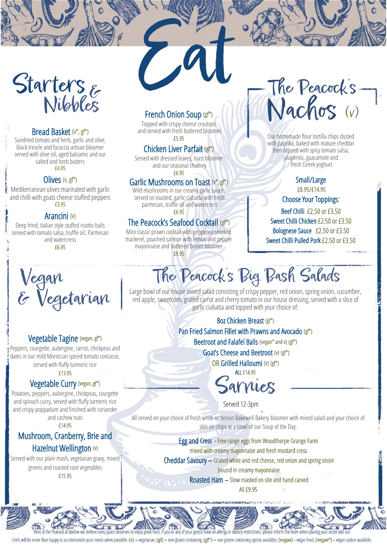

# Bread Basket (v\*, gf\*)

Sundried tomato and herb, garlic and olive, black treacle and focaccia artisan bloomer served with olive oil, aged balsamic and our salted and herb butters

£4.95

# Olives (v, gf\*)

Mediterranean olives marinated with garlic and chilli with goats cheese stuffed peppers £3.95

### Arancini (v)

Deep fried, Italian style stuffed risotto balls served with tomato salsa, truffle oil, Parmesan and watercress

£6.95

# £5.95 Chicken Liver Parfait (gf\*)

Served with dressed leaves, toast bloomer and our seasonal chutney £6.95

French Onion Soup (gf\*) Topped with crispy cheese croutons and served with fresh buttered bloomer

#### Garlic Mushrooms on Toast (v\*, gf\*)

Wild mushrooms in our creamy garlic sauce, served on toasted, garlic ciabatta with fresh parmesan, truffle oil and watercress £6.95

# The Peacock's Seafood Cocktail (gf\*)

Mini classic prawn cocktail with peppered smoked mackerel, poached salmon with lemon and pepper mayonnaise and buttered brown bloomer £9.95

# The Peacock's 7

Our homemade flour tortilla chips dusted with paprika, baked with mature cheddar then topped with spicy tomato salsa, jalapenos, guacamole and fresh Greek yoghurt

# Small/Large

£8.95/£14.95

Choose Your Toppings:

Beef Chilli £2.50 or £3.50 Sweet Chilli Chicken £2.50 or £3.50 Bolognese Sauce £2.50 or £3.50 Sweet Chilli Pulled Pork £2.50 or £3.50

ł



# Vegetable Tagine (vegan, gf\*)

Peppers, courgette, aubergine, carrot, chickpeas and dates in our mild Moroccan spiced tomato concasse,

served with fluffy turmeric rice

#### £13.95

### Vegetable Curry (vegan, gf\*)

Potatoes, peppers, aubergine, chickpeas, courgette and spinach curry, served with fluffy turmeric rice and crispy poppadum and finished with coriander and cashew nuts

£14.95

# Mushroom, Cranberry, Brie and Hazelnut Wellington (v)

Served with our plain mash, vegetarian gravy, mixed greens and roasted root vegetables £15.95

The Peacock's Big Bash Salads j ĺ

Large bowl of our house mixed salad consisting of crispy pepper, red onion, spring onion, cucumber, red apple, sweetcorn, grated carrot and cherry tomato in our house dressing, served with a slice of garlic ciabatta and topped with your choice of:

> ŋ í 8oz Chicken Breast (gf\*) Pan Fried Salmon Fillet with Prawns and Avocado (gf\*) Beetroot and Falafel Balls (vegan\* and v) (gf\*) Goat's Cheese and Beetroot (v) (gf\*) OR Grilled Halloumi (v) (gf\*) ALL £14.95

sarrues

Served 12-3pm

All served on your choice of fresh white or brown Bakewell Bakery bloomer with mixed salad and your choice of skin on chips or a bowl of our Soup of the Day.

> Egg and Cress - Free range eggs from Woodthorpe Grange Farm mixed with creamy mayonnaise and fresh mustard cress Cheddar Savoury – Grated white and red cheese, red onion and spring onion bound in creamy mayonnaise

> > Roasted Ham – Slow roasted on site and hand carved

All £9.95

l ۱ Í